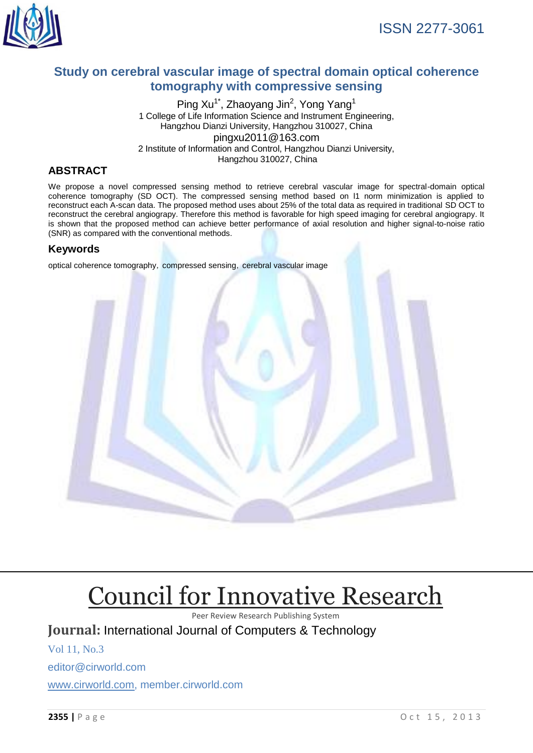

# **Study on cerebral vascular image of spectral domain optical coherence tomography with compressive sensing**

Ping Xu<sup>1\*</sup>, Zhaoyang Jin<sup>2</sup>, Yong Yang<sup>1</sup> 1 College of Life Information Science and Instrument Engineering, Hangzhou Dianzi University, Hangzhou 310027, China pingxu2011@163.com 2 Institute of Information and Control, Hangzhou Dianzi University, Hangzhou 310027, China

# **ABSTRACT**

We propose a novel compressed sensing method to retrieve cerebral vascular image for spectral-domain optical coherence tomography (SD OCT). The compressed sensing method based on l1 norm minimization is applied to reconstruct each A-scan data. The proposed method uses about 25% of the total data as required in traditional SD OCT to reconstruct the cerebral angiograpy. Therefore this method is favorable for high speed imaging for cerebral angiograpy. It is shown that the proposed method can achieve better performance of axial resolution and higher signal-to-noise ratio (SNR) as compared with the conventional methods.

# **Keywords**

optical coherence tomography, compressed sensing, cerebral vascular image



# [Council for Innovative Research](http://member.cirworld.com/)

Peer Review Research Publishing System

**Journal:** International Journal of Computers & Technology

Vol 11, No.3 editor@cirworld.com [www.cirworld.com, me](http://www.cirworld.com/)mber.cirworld.com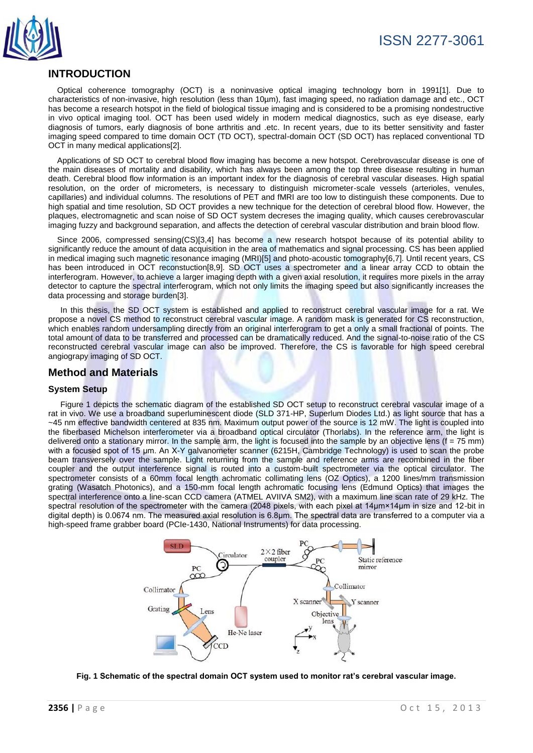

# **INTRODUCTION**

Optical coherence tomography (OCT) is a noninvasive optical imaging technology born in 1991[1]. Due to characteristics of non-invasive, high resolution (less than 10µm), fast imaging speed, no radiation damage and etc., OCT has become a research hotspot in the field of biological tissue imaging and is considered to be a promising nondestructive in vivo optical imaging tool. OCT has been used widely in modern medical diagnostics, such as eye disease, early diagnosis of tumors, early diagnosis of bone arthritis and .etc. In recent years, due to its better sensitivity and faster imaging speed compared to time domain OCT (TD OCT), spectral-domain OCT (SD OCT) has replaced conventional TD OCT in many medical applications[2].

Applications of SD OCT to cerebral blood flow imaging has become a new hotspot. Cerebrovascular disease is one of the main diseases of mortality and disability, which has always been among the top three disease resulting in human death. Cerebral blood flow information is an important index for the diagnosis of cerebral vascular diseases. High spatial resolution, on the order of micrometers, is necessary to distinguish micrometer-scale vessels (arterioles, venules, capillaries) and individual columns. The resolutions of PET and fMRI are too low to distinguish these components. Due to high spatial and time resolution, SD OCT provides a new technique for the detection of cerebral blood flow. However, the plaques, electromagnetic and scan noise of SD OCT system decreses the imaging quality, which causes cerebrovascular imaging fuzzy and background separation, and affects the detection of cerebral vascular distribution and brain blood flow.

Since 2006, compressed sensing(CS)[3,4] has become a new research hotspot because of its potential ability to significantly reduce the amount of data acquisition in the area of mathematics and signal processing. CS has been applied in medical imaging such magnetic resonance imaging (MRI)[5] and photo-acoustic tomography[6,7]. Until recent years, CS has been introduced in OCT reconstuction[8,9]. SD OCT uses a spectrometer and a linear array CCD to obtain the interferogram. However, to achieve a larger imaging depth with a given axial resolution, it requires more pixels in the array detector to capture the spectral interferogram, which not only limits the imaging speed but also significantly increases the data processing and storage burden[3].

In this thesis, the SD OCT system is established and applied to reconstruct cerebral vascular image for a rat. We propose a novel CS method to reconstruct cerebral vascular image. A random mask is generated for CS reconstruction, which enables random undersampling directly from an original interferogram to get a only a small fractional of points. The total amount of data to be transferred and processed can be dramatically reduced. And the signal-to-noise ratio of the CS reconstructed cerebral vascular image can also be improved. Therefore, the CS is favorable for high speed cerebral angiograpy imaging of SD OCT.

# **Method and Materials**

## **System Setup**

Figure 1 depicts the schematic diagram of the established SD OCT setup to reconstruct cerebral vascular image of a rat in vivo. We use a broadband superluminescent diode (SLD 371-HP, Superlum Diodes Ltd.) as light source that has a ~45 nm effective bandwidth centered at 835 nm. Maximum output power of the source is 12 mW. The light is coupled into the fiberbased Michelson interferometer via a broadband optical circulator (Thorlabs). In the reference arm, the light is delivered onto a stationary mirror. In the sample arm, the light is focused into the sample by an objective lens  $(f = 75 \text{ mm})$ with a focused spot of 15 μm. An X-Y galvanometer scanner (6215H, Cambridge Technology) is used to scan the probe beam transversely over the sample. Light returning from the sample and reference arms are recombined in the fiber coupler and the output interference signal is routed into a custom-built spectrometer via the optical circulator. The spectrometer consists of a 60mm focal length achromatic collimating lens (OZ Optics), a 1200 lines/mm transmission grating (Wasatch Photonics), and a 150-mm focal length achromatic focusing lens (Edmund Optics) that images the spectral interference onto a line-scan CCD camera (ATMEL AVIIVA SM2), with a maximum line scan rate of 29 kHz. The spectral resolution of the spectrometer with the camera (2048 pixels, with each pixel at 14µm×14µm in size and 12-bit in digital depth) is 0.0674 nm. The measured axial resolution is 6.8μm. The spectral data are transferred to a computer via a high-speed frame grabber board (PCIe-1430, National Instruments) for data processing.



**Fig. 1 Schematic of the spectral domain OCT system used to monitor rat's cerebral vascular image.**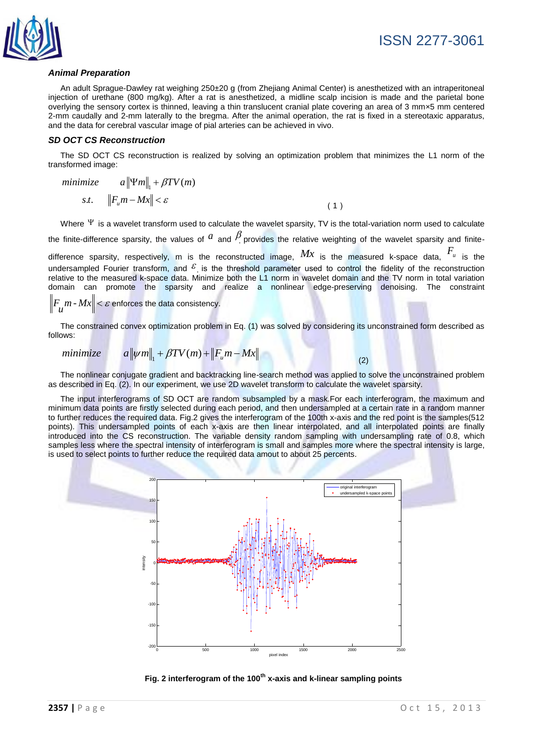

### *Animal Preparation*

An adult Sprague-Dawley rat weighing 250±20 g (from Zhejiang Animal Center) is anesthetized with an intraperitoneal injection of urethane (800 mg/kg). After a rat is anesthetized, a midline scalp incision is made and the parietal bone overlying the sensory cortex is thinned, leaving a thin translucent cranial plate covering an area of 3 mm×5 mm centered 2-mm caudally and 2-mm laterally to the bregma. After the animal operation, the rat is fixed in a stereotaxic apparatus, and the data for cerebral vascular image of pial arteries can be achieved in vivo.

#### *SD OCT CS Reconstruction*

The SD OCT CS reconstruction is realized by solving an optimization problem that minimizes the L1 norm of the transformed image:

minimize  
\n
$$
\begin{aligned}\n &\text{minimize} & a \|\Psi m\|_{1} + \beta T V(m) \\
&\text{s.t.} & \|F_{u}m - Mx\| < \varepsilon\n \end{aligned}
$$
\n(1)

Where  $\Psi$  is a wavelet transform used to calculate the wavelet sparsity, TV is the total-variation norm used to calculate

the finite-difference sparsity, the values of  $^a$  and  $^{\beta}$  provides the relative weighting of the wavelet sparsity and finite-

difference sparsity, respectively, m is the reconstructed image,  $Mx$  is the measured k-space data,  $F_u$  is the undersampled Fourier transform, and  $\epsilon$  is the threshold parameter used to control the fidelity of the reconstruction relative to the measured k-space data. Minimize both the L1 norm in wavelet domain and the TV norm in total variation domain can promote the sparsity and realize a nonlinear edge-preserving denoising. The constraint

$$
\left\|F_{\mathcal{U}}m \cdot Mx\right\| < \varepsilon \text{ enforces the data consistency.}
$$

The constrained convex optimization problem in Eq. (1) was solved by considering its unconstrained form described as follows:

$$
m\text{inimize} \qquad a\|\psi m\|_1 + \beta T V(m) + \|F_u m - Mx\| \tag{2}
$$

The nonlinear conjugate gradient and backtracking line-search method was applied to solve the unconstrained problem as described in Eq. (2). In our experiment, we use 2D wavelet transform to calculate the wavelet sparsity.

The input interferograms of SD OCT are random subsampled by a mask. For each interferogram, the maximum and minimum data points are firstly selected during each period, and then undersampled at a certain rate in a random manner to further reduces the required data. Fig.2 gives the interferogram of the 100th x-axis and the red point is the samples(512 points). This undersampled points of each x-axis are then linear interpolated, and all interpolated points are finally introduced into the CS reconstruction. The variable density random sampling with undersampling rate of 0.8, which samples less where the spectral intensity of interferogram is small and samples more where the spectral intensity is large, is used to select points to further reduce the required data amout to about 25 percents.



**Fig. 2 interferogram of the 100th x-axis and k-linear sampling points**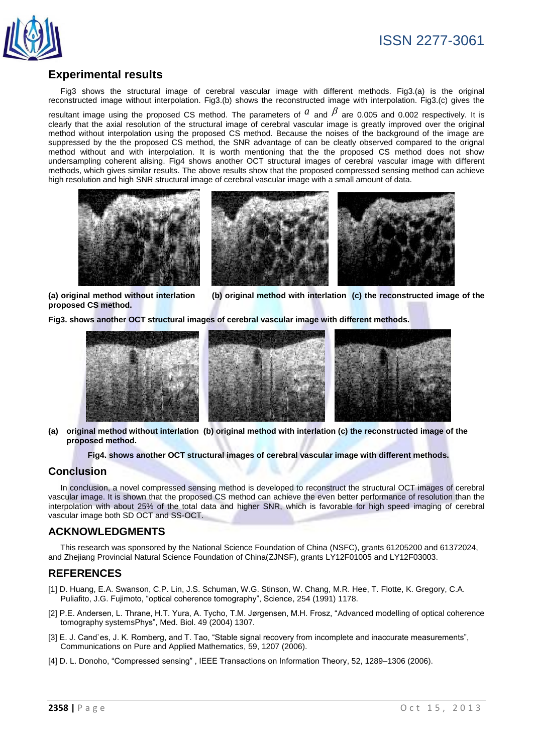

# **Experimental results**

Fig3 shows the structural image of cerebral vascular image with different methods. Fig3.(a) is the original reconstructed image without interpolation. Fig3.(b) shows the reconstructed image with interpolation. Fig3.(c) gives the

resultant image using the proposed CS method. The parameters of  $^a$  and  $^{\beta}$  are 0.005 and 0.002 respectively. It is clearly that the axial resolution of the structural image of cerebral vascular image is greatly improved over the original method without interpolation using the proposed CS method. Because the noises of the background of the image are suppressed by the the proposed CS method, the SNR advantage of can be cleatly observed compared to the orignal method without and with interpolation. It is worth mentioning that the the proposed CS method does not show undersampling coherent alising. Fig4 shows another OCT structural images of cerebral vascular image with different methods, which gives similar results. The above results show that the proposed compressed sensing method can achieve high resolution and high SNR structural image of cerebral vascular image with a small amount of data.



**proposed CS method.**

**(a) original method without interlation (b) original method with interlation (c) the reconstructed image of the** 

**Fig3. shows another OCT structural images of cerebral vascular image with different methods.**



#### **(a) original method without interlation (b) original method with interlation (c) the reconstructed image of the proposed method.**

**Fig4. shows another OCT structural images of cerebral vascular image with different methods.**

## **Conclusion**

In conclusion, a novel compressed sensing method is developed to reconstruct the structural OCT images of cerebral vascular image. It is shown that the proposed CS method can achieve the even better performance of resolution than the interpolation with about 25% of the total data and higher SNR, which is favorable for high speed imaging of cerebral vascular image both SD OCT and SS-OCT.

## **ACKNOWLEDGMENTS**

This research was sponsored by the National Science Foundation of China (NSFC), grants 61205200 and 61372024, and Zhejiang Provincial Natural Science Foundation of China(ZJNSF), grants LY12F01005 and LY12F03003.

## **REFERENCES**

- [1] D. Huang, E.A. Swanson, C.P. Lin, J.S. Schuman, W.G. Stinson, W. Chang, M.R. Hee, T. Flotte, K. Gregory, C.A. Puliafito, J.G. Fujimoto, "optical coherence tomography", Science, 254 (1991) 1178.
- [2] P.E. Andersen, L. Thrane, H.T. Yura, A. Tycho, T.M. Jørgensen, M.H. Frosz, ["Advanced modelling of optical coherence](http://iopscience.iop.org/0031-9155/49/7/017)  [tomography systemsP](http://iopscience.iop.org/0031-9155/49/7/017)hys", Med. Biol. 49 (2004) 1307.
- [3] E. J. Cand`es, J. K. Romberg, and T. Tao, "Stable signal recovery from incomplete and inaccurate measurements", Communications on Pure and Applied Mathematics, 59, 1207 (2006).
- [4] D. L. Donoho, "Compressed sensing" , IEEE Transactions on Information Theory, 52, 1289–1306 (2006).